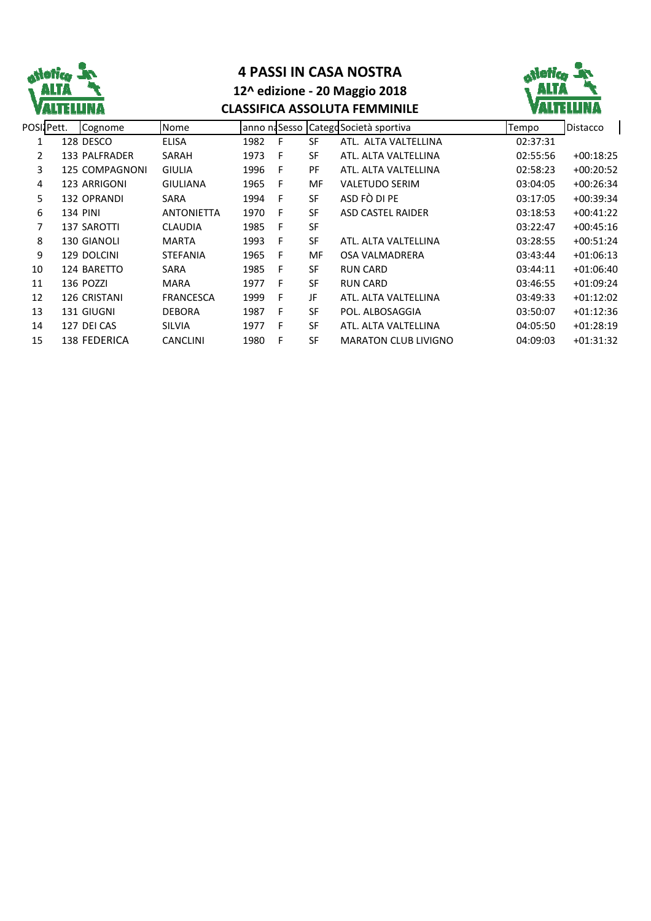

## **4 PASSI IN CASA NOSTRA 12^ edizione - 20 Maggio 2018 CLASSIFICA ASSOLUTA FEMMINILE**



|                | POSIJPett. | Cognome            | Nome              |      |   |           | anno naSesso CategoSocietà sportiva | Tempo    | <b>Distacco</b> |
|----------------|------------|--------------------|-------------------|------|---|-----------|-------------------------------------|----------|-----------------|
|                |            | 128 DESCO          | <b>ELISA</b>      | 1982 | F | SF        | ATL. ALTA VALTELLINA                | 02:37:31 |                 |
| $\overline{2}$ |            | 133 PALFRADER      | SARAH             | 1973 | F | <b>SF</b> | ATL. ALTA VALTELLINA                | 02:55:56 | $+00:18:25$     |
| 3              |            | 125 COMPAGNONI     | <b>GIULIA</b>     | 1996 | F | <b>PF</b> | ATL. ALTA VALTELLINA                | 02:58:23 | $+00:20:52$     |
| 4              |            | 123 ARRIGONI       | <b>GIULIANA</b>   | 1965 | F | MF        | <b>VALETUDO SERIM</b>               | 03:04:05 | $+00:26:34$     |
| 5              |            | <b>132 OPRANDI</b> | <b>SARA</b>       | 1994 | F | <b>SF</b> | ASD FÒ DI PE                        | 03:17:05 | $+00:39:34$     |
| 6              |            | 134 PINI           | <b>ANTONIETTA</b> | 1970 | F | SF        | <b>ASD CASTEL RAIDER</b>            | 03:18:53 | $+00:41:22$     |
| 7              |            | <b>137 SAROTTI</b> | <b>CLAUDIA</b>    | 1985 | F | <b>SF</b> |                                     | 03:22:47 | $+00:45:16$     |
| 8              |            | <b>130 GIANOLI</b> | <b>MARTA</b>      | 1993 | F | SF        | ATL. ALTA VALTELLINA                | 03:28:55 | $+00:51:24$     |
| 9              |            | 129 DOLCINI        | <b>STEFANIA</b>   | 1965 | F | MF        | OSA VALMADRERA                      | 03:43:44 | $+01:06:13$     |
| 10             |            | 124 BARETTO        | SARA              | 1985 | F | <b>SF</b> | <b>RUN CARD</b>                     | 03:44:11 | $+01:06:40$     |
| 11             |            | 136 POZZI          | <b>MARA</b>       | 1977 | F | <b>SF</b> | <b>RUN CARD</b>                     | 03:46:55 | $+01:09:24$     |
| 12             |            | 126 CRISTANI       | <b>FRANCESCA</b>  | 1999 | F | JF        | ATL. ALTA VALTELLINA                | 03:49:33 | $+01:12:02$     |
| 13             |            | 131 GIUGNI         | <b>DEBORA</b>     | 1987 | F | <b>SF</b> | POL. ALBOSAGGIA                     | 03:50:07 | $+01:12:36$     |
| 14             |            | 127 DEI CAS        | <b>SILVIA</b>     | 1977 | F | SF        | ATL. ALTA VALTELLINA                | 04:05:50 | $+01:28:19$     |
| 15             |            | 138 FEDERICA       | <b>CANCLINI</b>   | 1980 | F | <b>SF</b> | <b>MARATON CLUB LIVIGNO</b>         | 04:09:03 | $+01:31:32$     |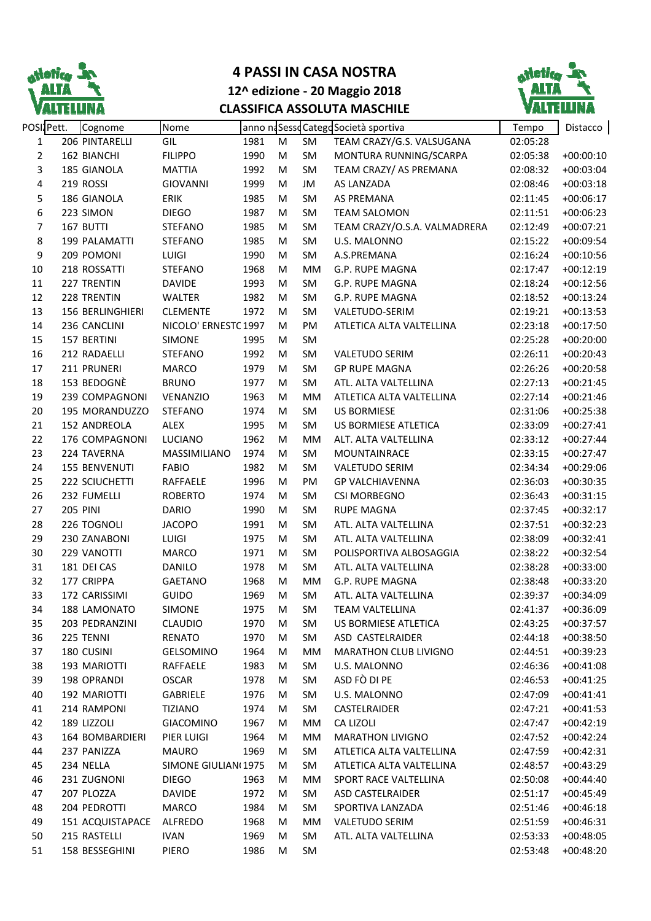

## **4 PASSI IN CASA NOSTRA 12^ edizione - 20 Maggio 2018 CLASSIFICA ASSOLUTA MASCHILE**



| POSI Pett.     |                 | Cognome          | Nome                 |      |   |           | anno na Sesso Catego Società sportiva | Tempo    | Distacco    |
|----------------|-----------------|------------------|----------------------|------|---|-----------|---------------------------------------|----------|-------------|
| 1              |                 | 206 PINTARELLI   | GIL                  | 1981 | M | SM        | TEAM CRAZY/G.S. VALSUGANA             | 02:05:28 |             |
| $\overline{2}$ |                 | 162 BIANCHI      | <b>FILIPPO</b>       | 1990 | M | SM        | MONTURA RUNNING/SCARPA                | 02:05:38 | $+00:00:10$ |
| 3              |                 | 185 GIANOLA      | <b>MATTIA</b>        | 1992 | M | SM        | TEAM CRAZY/ AS PREMANA                | 02:08:32 | $+00:03:04$ |
| 4              |                 | 219 ROSSI        | <b>GIOVANNI</b>      | 1999 | M | JM        | AS LANZADA                            | 02:08:46 | $+00:03:18$ |
| 5              |                 | 186 GIANOLA      | ERIK                 | 1985 | M | SM        | AS PREMANA                            | 02:11:45 | $+00:06:17$ |
| 6              |                 | 223 SIMON        | <b>DIEGO</b>         | 1987 | M | SM        | <b>TEAM SALOMON</b>                   | 02:11:51 | $+00:06:23$ |
| $\overline{7}$ |                 | 167 BUTTI        | <b>STEFANO</b>       | 1985 | M | SM        | TEAM CRAZY/O.S.A. VALMADRERA          | 02:12:49 | $+00:07:21$ |
| $\,8\,$        |                 | 199 PALAMATTI    | <b>STEFANO</b>       | 1985 | M | SM        | U.S. MALONNO                          | 02:15:22 | $+00:09:54$ |
| 9              |                 | 209 POMONI       | LUIGI                | 1990 | M | SM        | A.S.PREMANA                           | 02:16:24 | $+00:10:56$ |
| 10             |                 | 218 ROSSATTI     | <b>STEFANO</b>       | 1968 | M | MM        | G.P. RUPE MAGNA                       | 02:17:47 | $+00:12:19$ |
| 11             |                 | 227 TRENTIN      | <b>DAVIDE</b>        | 1993 | M | SM        | G.P. RUPE MAGNA                       | 02:18:24 | $+00:12:56$ |
| 12             |                 | 228 TRENTIN      | <b>WALTER</b>        | 1982 | M | SM        | G.P. RUPE MAGNA                       | 02:18:52 | $+00:13:24$ |
| 13             |                 | 156 BERLINGHIERI | <b>CLEMENTE</b>      | 1972 | M | SM        | VALETUDO-SERIM                        | 02:19:21 | $+00:13:53$ |
| 14             |                 | 236 CANCLINI     | NICOLO' ERNESTC 1997 |      | M | PM        | ATLETICA ALTA VALTELLINA              | 02:23:18 | $+00:17:50$ |
| 15             |                 | 157 BERTINI      | <b>SIMONE</b>        | 1995 | M | SM        |                                       | 02:25:28 | $+00:20:00$ |
| 16             |                 | 212 RADAELLI     | <b>STEFANO</b>       | 1992 | M | SM        | <b>VALETUDO SERIM</b>                 | 02:26:11 | $+00:20:43$ |
| 17             |                 | 211 PRUNERI      | MARCO                | 1979 | M | SM        | <b>GP RUPE MAGNA</b>                  | 02:26:26 | $+00:20:58$ |
| 18             |                 | 153 BEDOGNÈ      | <b>BRUNO</b>         | 1977 | M | SM        | ATL. ALTA VALTELLINA                  | 02:27:13 | $+00:21:45$ |
| 19             |                 | 239 COMPAGNONI   | VENANZIO             | 1963 | M | MM        | ATLETICA ALTA VALTELLINA              | 02:27:14 | $+00:21:46$ |
| 20             |                 | 195 MORANDUZZO   | <b>STEFANO</b>       | 1974 | M | SM        | <b>US BORMIESE</b>                    | 02:31:06 | $+00:25:38$ |
| 21             |                 | 152 ANDREOLA     | <b>ALEX</b>          | 1995 | M | SM        | <b>US BORMIESE ATLETICA</b>           | 02:33:09 | $+00:27:41$ |
| 22             |                 | 176 COMPAGNONI   | LUCIANO              | 1962 | M | <b>MM</b> | ALT. ALTA VALTELLINA                  | 02:33:12 | $+00:27:44$ |
| 23             |                 | 224 TAVERNA      | MASSIMILIANO         | 1974 | M | SM        | MOUNTAINRACE                          | 02:33:15 | $+00:27:47$ |
| 24             |                 | 155 BENVENUTI    | <b>FABIO</b>         | 1982 | M | SM        | <b>VALETUDO SERIM</b>                 | 02:34:34 | $+00:29:06$ |
| 25             |                 | 222 SCIUCHETTI   | RAFFAELE             | 1996 | M | PM        | <b>GP VALCHIAVENNA</b>                | 02:36:03 | $+00:30:35$ |
| 26             |                 | 232 FUMELLI      | <b>ROBERTO</b>       | 1974 | M | SM        | <b>CSI MORBEGNO</b>                   | 02:36:43 | $+00:31:15$ |
| 27             | <b>205 PINI</b> |                  | <b>DARIO</b>         | 1990 | M | SM        | <b>RUPE MAGNA</b>                     | 02:37:45 | $+00:32:17$ |
| 28             |                 | 226 TOGNOLI      | <b>JACOPO</b>        | 1991 | M | SM        | ATL. ALTA VALTELLINA                  | 02:37:51 | $+00:32:23$ |
| 29             |                 | 230 ZANABONI     | <b>LUIGI</b>         | 1975 | M | SM        | ATL. ALTA VALTELLINA                  | 02:38:09 | $+00:32:41$ |
| 30             |                 | 229 VANOTTI      | MARCO                | 1971 | M | SM        | POLISPORTIVA ALBOSAGGIA               | 02:38:22 | $+00:32:54$ |
| 31             |                 | 181 DEI CAS      | DANILO               | 1978 | M | SM        | ATL. ALTA VALTELLINA                  | 02:38:28 | $+00:33:00$ |
| 32             |                 | 177 CRIPPA       | <b>GAETANO</b>       | 1968 | M | MM        | G.P. RUPE MAGNA                       | 02:38:48 | $+00:33:20$ |
| 33             |                 | 172 CARISSIMI    | GUIDO                | 1969 | M | SM        | ATL. ALTA VALTELLINA                  | 02:39:37 | $+00:34:09$ |
| 34             |                 | 188 LAMONATO     | <b>SIMONE</b>        | 1975 | M | SM        | <b>TEAM VALTELLINA</b>                | 02:41:37 | $+00:36:09$ |
| 35             |                 | 203 PEDRANZINI   | <b>CLAUDIO</b>       | 1970 | M | SM        | US BORMIESE ATLETICA                  | 02:43:25 | $+00:37:57$ |
| 36             |                 | 225 TENNI        | RENATO               | 1970 | M | SM        | ASD CASTELRAIDER                      | 02:44:18 | $+00:38:50$ |
| 37             |                 | 180 CUSINI       | <b>GELSOMINO</b>     | 1964 | M | MM        | <b>MARATHON CLUB LIVIGNO</b>          | 02:44:51 | $+00:39:23$ |
| 38             |                 | 193 MARIOTTI     | RAFFAELE             | 1983 | M | SM        | U.S. MALONNO                          | 02:46:36 | $+00:41:08$ |
| 39             |                 | 198 OPRANDI      | <b>OSCAR</b>         | 1978 | М | SM        | ASD FÒ DI PE                          | 02:46:53 | $+00:41:25$ |
| 40             |                 | 192 MARIOTTI     | <b>GABRIELE</b>      | 1976 | M | SM        | U.S. MALONNO                          | 02:47:09 | $+00:41:41$ |
| 41             |                 | 214 RAMPONI      | <b>TIZIANO</b>       | 1974 | M | SM        | CASTELRAIDER                          | 02:47:21 | $+00:41:53$ |
| 42             |                 | 189 LIZZOLI      | <b>GIACOMINO</b>     | 1967 | М | MM        | CA LIZOLI                             | 02:47:47 | $+00:42:19$ |
| 43             |                 | 164 BOMBARDIERI  | PIER LUIGI           | 1964 | M | MM        | <b>MARATHON LIVIGNO</b>               | 02:47:52 | $+00:42:24$ |
| 44             |                 | 237 PANIZZA      | <b>MAURO</b>         | 1969 | M | SM        | ATLETICA ALTA VALTELLINA              | 02:47:59 | $+00:42:31$ |
| 45             |                 | 234 NELLA        | SIMONE GIULIAN(1975  |      | М | SM        | ATLETICA ALTA VALTELLINA              | 02:48:57 | $+00:43:29$ |
| 46             |                 | 231 ZUGNONI      | <b>DIEGO</b>         | 1963 | М | MM        | SPORT RACE VALTELLINA                 | 02:50:08 | $+00:44:40$ |
| 47             |                 | 207 PLOZZA       | <b>DAVIDE</b>        | 1972 | M | SM        | ASD CASTELRAIDER                      | 02:51:17 | $+00:45:49$ |
| 48             |                 | 204 PEDROTTI     | MARCO                | 1984 | M | SM        | SPORTIVA LANZADA                      | 02:51:46 | $+00:46:18$ |
| 49             |                 | 151 ACQUISTAPACE | <b>ALFREDO</b>       | 1968 | M | MM        | <b>VALETUDO SERIM</b>                 | 02:51:59 | $+00:46:31$ |
| 50             |                 | 215 RASTELLI     | <b>IVAN</b>          | 1969 | M | SM        | ATL. ALTA VALTELLINA                  | 02:53:33 | $+00:48:05$ |
| 51             |                 | 158 BESSEGHINI   | PIERO                | 1986 | M | SM        |                                       | 02:53:48 | $+00:48:20$ |